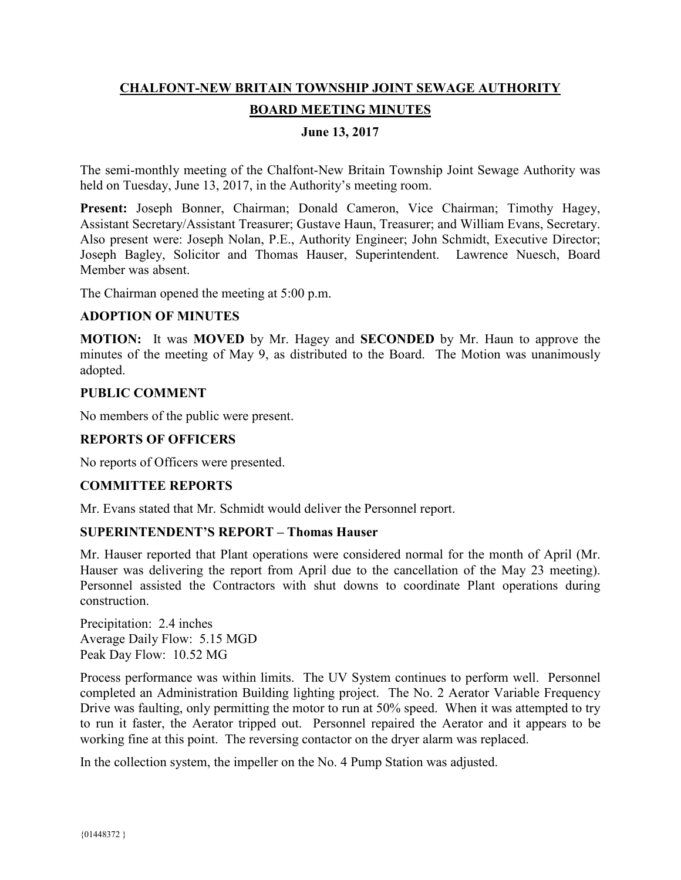# **CHALFONT-NEW BRITAIN TOWNSHIP JOINT SEWAGE AUTHORITY BOARD MEETING MINUTES**

## **June 13, 2017**

The semi-monthly meeting of the Chalfont-New Britain Township Joint Sewage Authority was held on Tuesday, June 13, 2017, in the Authority's meeting room.

Present: Joseph Bonner, Chairman; Donald Cameron, Vice Chairman; Timothy Hagey, Assistant Secretary/Assistant Treasurer; Gustave Haun, Treasurer; and William Evans, Secretary. Also present were: Joseph Nolan, P.E., Authority Engineer; John Schmidt, Executive Director; Joseph Bagley, Solicitor and Thomas Hauser, Superintendent. Lawrence Nuesch, Board Member was absent.

The Chairman opened the meeting at 5:00 p.m.

#### **ADOPTION OF MINUTES**

**MOTION:** It was **MOVED** by Mr. Hagey and **SECONDED** by Mr. Haun to approve the minutes of the meeting of May 9, as distributed to the Board. The Motion was unanimously adopted.

#### **PUBLIC COMMENT**

No members of the public were present.

### **REPORTS OF OFFICERS**

No reports of Officers were presented.

#### **COMMITTEE REPORTS**

Mr. Evans stated that Mr. Schmidt would deliver the Personnel report.

### **SUPERINTENDENT'S REPORT – Thomas Hauser**

Mr. Hauser reported that Plant operations were considered normal for the month of April (Mr. Hauser was delivering the report from April due to the cancellation of the May 23 meeting). Personnel assisted the Contractors with shut downs to coordinate Plant operations during construction.

Precipitation: 2.4 inches Average Daily Flow: 5.15 MGD Peak Day Flow: 10.52 MG

Process performance was within limits. The UV System continues to perform well. Personnel completed an Administration Building lighting project. The No. 2 Aerator Variable Frequency Drive was faulting, only permitting the motor to run at 50% speed. When it was attempted to try to run it faster, the Aerator tripped out. Personnel repaired the Aerator and it appears to be working fine at this point. The reversing contactor on the dryer alarm was replaced.

In the collection system, the impeller on the No. 4 Pump Station was adjusted.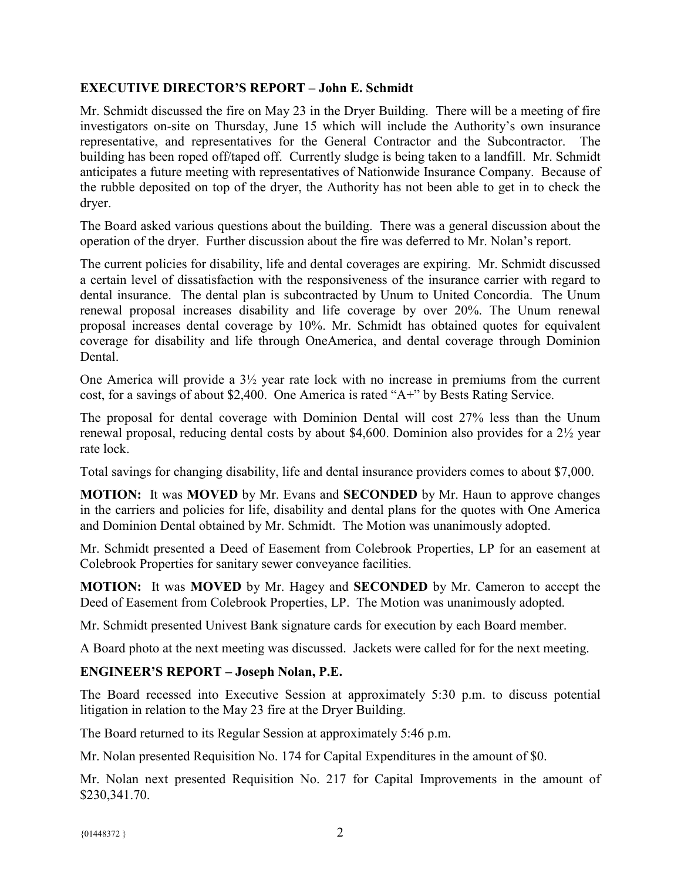## **EXECUTIVE DIRECTOR'S REPORT – John E. Schmidt**

Mr. Schmidt discussed the fire on May 23 in the Dryer Building. There will be a meeting of fire investigators on-site on Thursday, June 15 which will include the Authority's own insurance representative, and representatives for the General Contractor and the Subcontractor. The building has been roped off/taped off. Currently sludge is being taken to a landfill. Mr. Schmidt anticipates a future meeting with representatives of Nationwide Insurance Company. Because of the rubble deposited on top of the dryer, the Authority has not been able to get in to check the dryer.

The Board asked various questions about the building. There was a general discussion about the operation of the dryer. Further discussion about the fire was deferred to Mr. Nolan's report.

The current policies for disability, life and dental coverages are expiring. Mr. Schmidt discussed a certain level of dissatisfaction with the responsiveness of the insurance carrier with regard to dental insurance. The dental plan is subcontracted by Unum to United Concordia. The Unum renewal proposal increases disability and life coverage by over 20%. The Unum renewal proposal increases dental coverage by 10%. Mr. Schmidt has obtained quotes for equivalent coverage for disability and life through OneAmerica, and dental coverage through Dominion **Dental** 

One America will provide a 3½ year rate lock with no increase in premiums from the current cost, for a savings of about \$2,400. One America is rated "A+" by Bests Rating Service.

The proposal for dental coverage with Dominion Dental will cost 27% less than the Unum renewal proposal, reducing dental costs by about \$4,600. Dominion also provides for a 2½ year rate lock.

Total savings for changing disability, life and dental insurance providers comes to about \$7,000.

**MOTION:** It was **MOVED** by Mr. Evans and **SECONDED** by Mr. Haun to approve changes in the carriers and policies for life, disability and dental plans for the quotes with One America and Dominion Dental obtained by Mr. Schmidt. The Motion was unanimously adopted.

Mr. Schmidt presented a Deed of Easement from Colebrook Properties, LP for an easement at Colebrook Properties for sanitary sewer conveyance facilities.

**MOTION:** It was **MOVED** by Mr. Hagey and **SECONDED** by Mr. Cameron to accept the Deed of Easement from Colebrook Properties, LP. The Motion was unanimously adopted.

Mr. Schmidt presented Univest Bank signature cards for execution by each Board member.

A Board photo at the next meeting was discussed. Jackets were called for for the next meeting.

## **ENGINEER'S REPORT – Joseph Nolan, P.E.**

The Board recessed into Executive Session at approximately 5:30 p.m. to discuss potential litigation in relation to the May 23 fire at the Dryer Building.

The Board returned to its Regular Session at approximately 5:46 p.m.

Mr. Nolan presented Requisition No. 174 for Capital Expenditures in the amount of \$0.

Mr. Nolan next presented Requisition No. 217 for Capital Improvements in the amount of \$230,341.70.